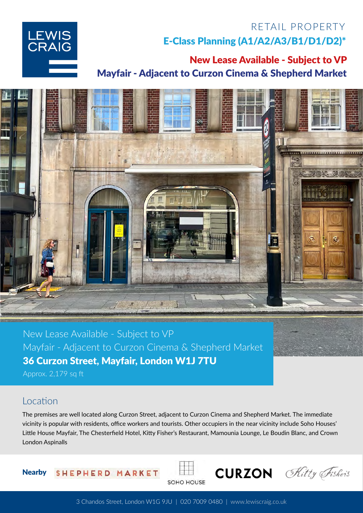# E-Class Planning (A1/A2/A3/B1/D1/D2)\* RETAIL PROPERTY

# New Lease Available - Subject to VP Mayfair - Adjacent to Curzon Cinema & Shepherd Market



New Lease Available - Subject to VP Mayfair - Adjacent to Curzon Cinema & Shepherd Market 36 Curzon Street, Mayfair, London W1J 7TU

Approx. 2,179 sq ft

LEWIS<br>CRAIG

### **Location**

The premises are well located along Curzon Street, adjacent to Curzon Cinema and Shepherd Market. The immediate vicinity is popular with residents, office workers and tourists. Other occupiers in the near vicinity include Soho Houses' Little House Mayfair, The Chesterfield Hotel, Kitty Fisher's Restaurant, Mamounia Lounge, Le Boudin Blanc, and Crown London Aspinalls





**CURZON** Fisher's